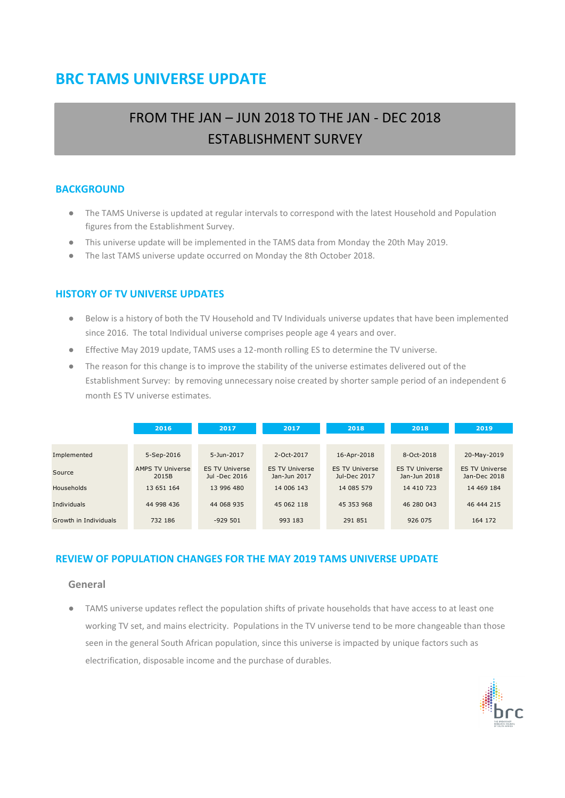# **BRC TAMS UNIVERSE UPDATE**

# FROM THE JAN – JUN 2018 TO THE JAN - DEC 2018 ESTABLISHMENT SURVEY

### **BACKGROUND**

- The TAMS Universe is updated at regular intervals to correspond with the latest Household and Population figures from the Establishment Survey.
- This universe update will be implemented in the TAMS data from Monday the 20th May 2019.
- The last TAMS universe update occurred on Monday the 8th October 2018.

### **HISTORY OF TV UNIVERSE UPDATES**

- Below is a history of both the TV Household and TV Individuals universe updates that have been implemented since 2016. The total Individual universe comprises people age 4 years and over.
- Effective May 2019 update, TAMS uses a 12-month rolling ES to determine the TV universe.
- The reason for this change is to improve the stability of the universe estimates delivered out of the Establishment Survey: by removing unnecessary noise created by shorter sample period of an independent 6 month ES TV universe estimates.

|                       | 2016                             | 2017                                   | 2017                                  | 2018                                  | 2018                                  | 2019                                  |
|-----------------------|----------------------------------|----------------------------------------|---------------------------------------|---------------------------------------|---------------------------------------|---------------------------------------|
|                       |                                  |                                        |                                       |                                       |                                       |                                       |
| Implemented           | 5-Sep-2016                       | 5-Jun-2017                             | $2-Oct-2017$                          | 16-Apr-2018                           | 8-Oct-2018                            | 20-May-2019                           |
| Source                | <b>AMPS TV Universe</b><br>2015B | <b>ES TV Universe</b><br>Jul -Dec 2016 | <b>ES TV Universe</b><br>Jan-Jun 2017 | <b>ES TV Universe</b><br>Jul-Dec 2017 | <b>ES TV Universe</b><br>Jan-Jun 2018 | <b>ES TV Universe</b><br>Jan-Dec 2018 |
| <b>Households</b>     | 13 651 164                       | 13 996 480                             | 14 006 143                            | 14 085 579                            | 14 410 723                            | 14 469 184                            |
| Individuals           | 44 998 436                       | 44 068 935                             | 45 062 118                            | 45 353 968                            | 46 280 043                            | 46 444 215                            |
| Growth in Individuals | 732 186                          | $-929501$                              | 993 183                               | 291 851                               | 926 075                               | 164 172                               |

### **REVIEW OF POPULATION CHANGES FOR THE MAY 2019 TAMS UNIVERSE UPDATE**

#### **General**

● TAMS universe updates reflect the population shifts of private households that have access to at least one working TV set, and mains electricity. Populations in the TV universe tend to be more changeable than those seen in the general South African population, since this universe is impacted by unique factors such as electrification, disposable income and the purchase of durables.

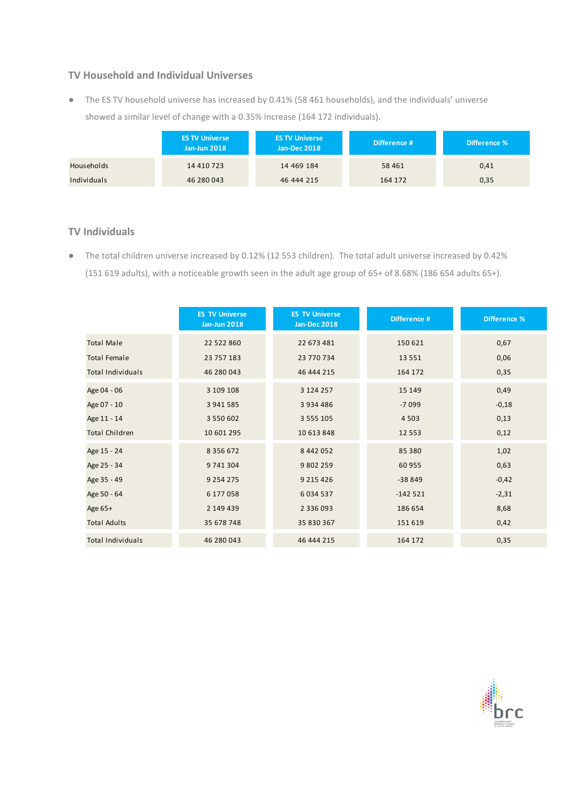### **TV Household and Individual Universes**

● The ES TV household universe has increased by 0.41% (58 461 households), and the individuals' universe showed a similar level of change with a 0.35% increase (164 172 individuals).

|             | <b>ES TV Universe</b><br><b>Jan-Jun 2018</b> | <b>ES TV Universe</b><br><b>Jan-Dec 2018</b> | Difference # | Difference % |
|-------------|----------------------------------------------|----------------------------------------------|--------------|--------------|
| Households  | 14 410 723                                   | 14 469 184                                   | 58 4 61      | 0,41         |
| Individuals | 46 280 043                                   | 46 444 215                                   | 164 172      | 0,35         |

### **TV Individuals**

● The total children universe increased by 0.12% (12 553 children). The total adult universe increased by 0.42% (151 619 adults), with a noticeable growth seen in the adult age group of 65+ of 8.68% (186 654 adults 65+).

|                          | <b>ES TV Universe</b><br><b>Jan-Jun 2018</b> | <b>ES TV Universe</b><br><b>Jan-Dec 2018</b> | Difference # | <b>Difference %</b> |
|--------------------------|----------------------------------------------|----------------------------------------------|--------------|---------------------|
| <b>Total Male</b>        | 22 522 860                                   | 22 673 481                                   | 150 621      | 0,67                |
| <b>Total Female</b>      | 23 757 183                                   | 23 770 734                                   | 13 5 5 1     | 0,06                |
| <b>Total Individuals</b> | 46 280 043                                   | 46 444 215                                   | 164 172      | 0,35                |
| Age 04 - 06              | 3 109 108                                    | 3 124 257                                    | 15 149       | 0,49                |
| Age 07 - 10              | 3 941 585                                    | 3 9 3 4 4 8 6                                | $-7099$      | $-0,18$             |
| Age 11 - 14              | 3 550 602                                    | 3 5 5 5 1 0 5                                | 4 5 0 3      | 0,13                |
| <b>Total Children</b>    | 10 601 295                                   | 10 613 848                                   | 12 5 5 3     | 0,12                |
| Age 15 - 24              | 8 3 5 6 6 7 2                                | 8 442 052                                    | 85 380       | 1,02                |
| Age 25 - 34              | 9 741 304                                    | 9 802 259                                    | 60 955       | 0,63                |
| Age 35 - 49              | 9 2 5 4 2 7 5                                | 9 2 1 5 4 2 6                                | $-38849$     | $-0,42$             |
| Age 50 - 64              | 6 177 058                                    | 6 0 3 4 5 3 7                                | $-142521$    | $-2,31$             |
| Age 65+                  | 2 149 439                                    | 2 3 3 6 0 9 3                                | 186 654      | 8,68                |
| <b>Total Adults</b>      | 35 678 748                                   | 35 830 367                                   | 151 619      | 0,42                |
| <b>Total Individuals</b> | 46 280 043                                   | 46 444 215                                   | 164 172      | 0,35                |

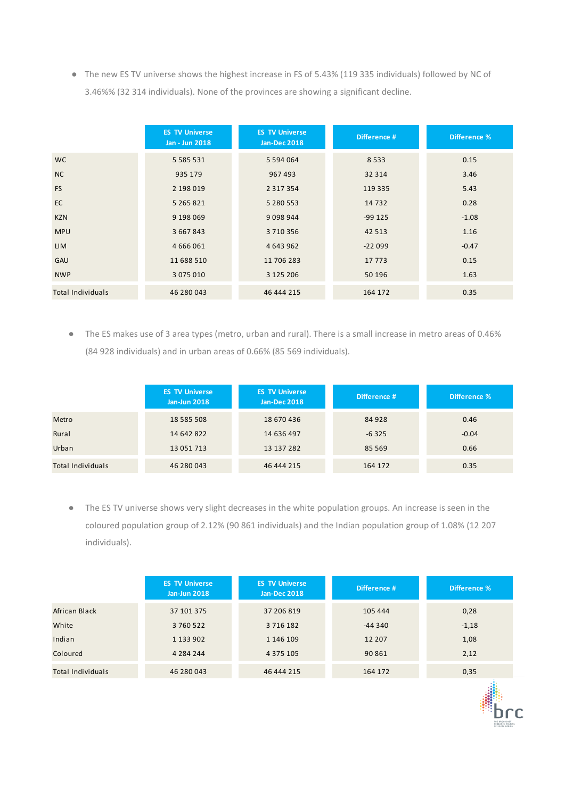● The new ES TV universe shows the highest increase in FS of 5.43% (119 335 individuals) followed by NC of 3.46%% (32 314 individuals). None of the provinces are showing a significant decline.

|                          | <b>ES TV Universe</b><br><b>Jan - Jun 2018</b> | <b>ES TV Universe</b><br><b>Jan-Dec 2018</b> | Difference # | <b>Difference %</b> |
|--------------------------|------------------------------------------------|----------------------------------------------|--------------|---------------------|
| <b>WC</b>                | 5 5 8 5 5 3 1                                  | 5 5 9 4 0 6 4                                | 8533         | 0.15                |
| NC                       | 935 179                                        | 967 493                                      | 32 314       | 3.46                |
| <b>FS</b>                | 2 198 019                                      | 2 3 1 7 3 5 4                                | 119 335      | 5.43                |
| <b>EC</b>                | 5 265 821                                      | 5 280 553                                    | 14 7 32      | 0.28                |
| <b>KZN</b>               | 9 198 069                                      | 9 0 9 8 9 4 4                                | $-99125$     | $-1.08$             |
| <b>MPU</b>               | 3 667 843                                      | 3710356                                      | 42 5 13      | 1.16                |
| <b>LIM</b>               | 4 6 6 6 0 6 1                                  | 4 643 962                                    | $-22099$     | $-0.47$             |
| <b>GAU</b>               | 11 688 510                                     | 11 706 283                                   | 17 7 7 3     | 0.15                |
| <b>NWP</b>               | 3 075 010                                      | 3 125 206                                    | 50 196       | 1.63                |
| <b>Total Individuals</b> | 46 280 043                                     | 46 444 215                                   | 164 172      | 0.35                |

● The ES makes use of 3 area types (metro, urban and rural). There is a small increase in metro areas of 0.46% (84 928 individuals) and in urban areas of 0.66% (85 569 individuals).

|                   | <b>ES TV Universe</b><br><b>Jan-Jun 2018</b> | <b>ES TV Universe</b><br><b>Jan-Dec 2018</b> | Difference # | Difference % |
|-------------------|----------------------------------------------|----------------------------------------------|--------------|--------------|
| Metro             | 18 585 508                                   | 18 670 436                                   | 84 928       | 0.46         |
| Rural             | 14 642 822                                   | 14 636 497                                   | $-6325$      | $-0.04$      |
| Urban             | 13 051 713                                   | 13 137 282                                   | 85 5 69      | 0.66         |
| Total Individuals | 46 280 043                                   | 46 444 215                                   | 164 172      | 0.35         |

● The ES TV universe shows very slight decreases in the white population groups. An increase is seen in the coloured population group of 2.12% (90 861 individuals) and the Indian population group of 1.08% (12 207 individuals).

|                   | <b>ES TV Universe</b><br><b>Jan-Jun 2018</b> | <b>ES TV Universe</b><br><b>Jan-Dec 2018</b> | Difference # | Difference % |
|-------------------|----------------------------------------------|----------------------------------------------|--------------|--------------|
| African Black     | 37 101 375                                   | 37 206 819                                   | 105 444      | 0,28         |
| White             | 3760522                                      | 3716182                                      | $-44340$     | $-1,18$      |
| Indian            | 1 1 3 9 0 2                                  | 1 146 109                                    | 12 207       | 1,08         |
| Coloured          | 4 2 8 4 2 4 4                                | 4 3 7 5 1 0 5                                | 90 861       | 2,12         |
| Total Individuals | 46 280 043                                   | 46 444 215                                   | 164 172      | 0,35         |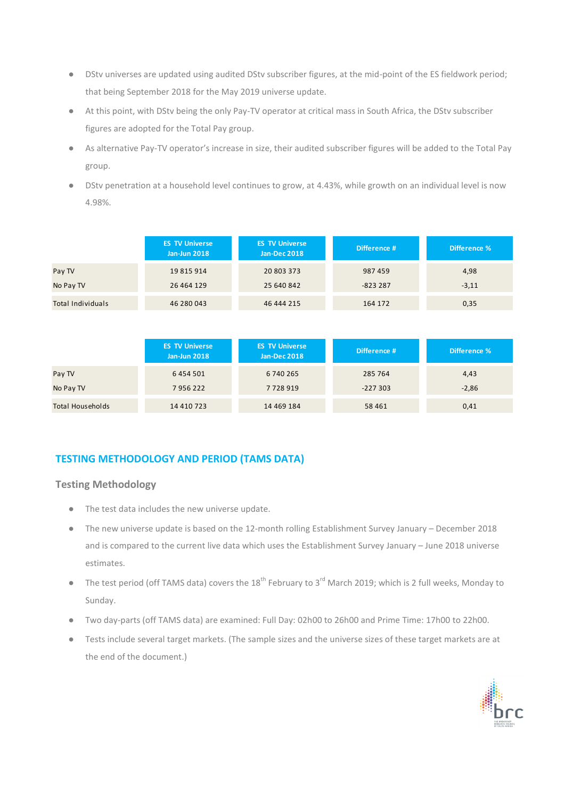- DStv universes are updated using audited DStv subscriber figures, at the mid-point of the ES fieldwork period; that being September 2018 for the May 2019 universe update.
- At this point, with DStv being the only Pay-TV operator at critical mass in South Africa, the DStv subscriber figures are adopted for the Total Pay group.
- As alternative Pay-TV operator's increase in size, their audited subscriber figures will be added to the Total Pay group.
- DStv penetration at a household level continues to grow, at 4.43%, while growth on an individual level is now 4.98%.

|                   | <b>ES TV Universe</b><br><b>Jan-Jun 2018</b> | <b>ES TV Universe</b><br><b>Jan-Dec 2018</b> | Difference # | Difference % |
|-------------------|----------------------------------------------|----------------------------------------------|--------------|--------------|
| Pay TV            | 19 815 914                                   | 20 803 373                                   | 987459       | 4,98         |
| No Pay TV         | 26 464 129                                   | 25 640 842                                   | $-823287$    | $-3,11$      |
| Total Individuals | 46 280 043                                   | 46 444 215                                   | 164 172      | 0,35         |

|                  | <b>ES TV Universe</b><br><b>Jan-Jun 2018</b> | <b>ES TV Universe</b><br><b>Jan-Dec 2018</b> | Difference # | Difference % |
|------------------|----------------------------------------------|----------------------------------------------|--------------|--------------|
| Pay TV           | 6 4 5 4 5 0 1                                | 6 740 265                                    | 285 764      | 4,43         |
| No Pay TV        | 7956222                                      | 7728919                                      | $-227303$    | $-2,86$      |
| Total Households | 14 410 723                                   | 14 469 184                                   | 58 4 61      | 0,41         |

# **TESTING METHODOLOGY AND PERIOD (TAMS DATA)**

### **Testing Methodology**

- The test data includes the new universe update.
- The new universe update is based on the 12-month rolling Establishment Survey January December 2018 and is compared to the current live data which uses the Establishment Survey January – June 2018 universe estimates.
- The test period (off TAMS data) covers the  $18^{th}$  February to  $3^{rd}$  March 2019; which is 2 full weeks, Monday to Sunday.
- Two day-parts (off TAMS data) are examined: Full Day: 02h00 to 26h00 and Prime Time: 17h00 to 22h00.
- Tests include several target markets. (The sample sizes and the universe sizes of these target markets are at the end of the document.)

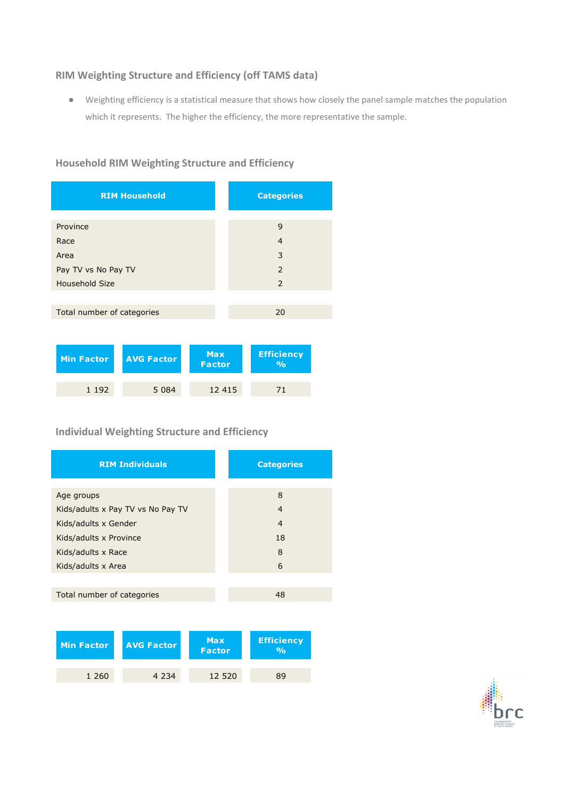### **RIM Weighting Structure and Efficiency (off TAMS data)**

● Weighting efficiency is a statistical measure that shows how closely the panel sample matches the population which it represents. The higher the efficiency, the more representative the sample.

# **Household RIM Weighting Structure and Efficiency**

| <b>RIM Household</b>       | <b>Categories</b> |
|----------------------------|-------------------|
|                            |                   |
| Province                   | 9                 |
| Race                       | $\overline{4}$    |
| Area                       | 3                 |
| Pay TV vs No Pay TV        | $\overline{z}$    |
| Household Size             | 2                 |
|                            |                   |
| Total number of categories | 20                |
|                            |                   |

| Min Factor | <b>LAVG Factor</b> | <b>Max</b><br><b>Factor</b> | <b>Efficiency</b><br>$\overline{\mathsf{o}}_{\mathsf{O}}$ |
|------------|--------------------|-----------------------------|-----------------------------------------------------------|
| 1 1 9 2    | 5 0 8 4            | 12 4 15                     | 71                                                        |

# **Individual Weighting Structure and Efficiency**

| <b>RIM Individuals</b>            | <b>Categories</b> |
|-----------------------------------|-------------------|
|                                   |                   |
| Age groups                        | 8                 |
| Kids/adults x Pay TV vs No Pay TV | 4                 |
| Kids/adults x Gender              | 4                 |
| Kids/adults x Province            | 18                |
| Kids/adults x Race                | 8                 |
| Kids/adults x Area                | 6                 |
|                                   |                   |
| Total number of categories        | 48                |

| Min Factor | <b>AVG Factor</b> | <b>Max</b><br><b>Factor</b> | <b>Efficiency</b><br>0/2 |
|------------|-------------------|-----------------------------|--------------------------|
| 1 2 6 0    | 4 2 3 4           | 12 520                      | 89                       |

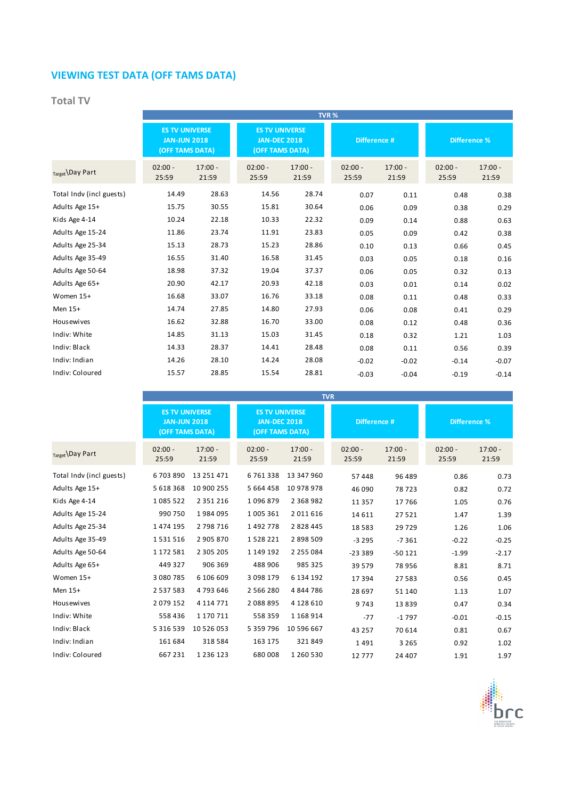# **VIEWING TEST DATA (OFF TAMS DATA)**

## **Total TV**

|                          |                                                                 |                    |                                                                 |                    | TVR%               |                    |                     |                    |
|--------------------------|-----------------------------------------------------------------|--------------------|-----------------------------------------------------------------|--------------------|--------------------|--------------------|---------------------|--------------------|
|                          | <b>ES TV UNIVERSE</b><br><b>JAN-JUN 2018</b><br>(OFF TAMS DATA) |                    | <b>ES TV UNIVERSE</b><br><b>JAN-DEC 2018</b><br>(OFF TAMS DATA) |                    | Difference #       |                    | <b>Difference %</b> |                    |
| Target Day Part          | $02:00 -$<br>25:59                                              | $17:00 -$<br>21:59 | $02:00 -$<br>25:59                                              | $17:00 -$<br>21:59 | $02:00 -$<br>25:59 | $17:00 -$<br>21:59 | $02:00 -$<br>25:59  | $17:00 -$<br>21:59 |
| Total Indv (incl guests) | 14.49                                                           | 28.63              | 14.56                                                           | 28.74              | 0.07               | 0.11               | 0.48                | 0.38               |
| Adults Age 15+           | 15.75                                                           | 30.55              | 15.81                                                           | 30.64              | 0.06               | 0.09               | 0.38                | 0.29               |
| Kids Age 4-14            | 10.24                                                           | 22.18              | 10.33                                                           | 22.32              | 0.09               | 0.14               | 0.88                | 0.63               |
| Adults Age 15-24         | 11.86                                                           | 23.74              | 11.91                                                           | 23.83              | 0.05               | 0.09               | 0.42                | 0.38               |
| Adults Age 25-34         | 15.13                                                           | 28.73              | 15.23                                                           | 28.86              | 0.10               | 0.13               | 0.66                | 0.45               |
| Adults Age 35-49         | 16.55                                                           | 31.40              | 16.58                                                           | 31.45              | 0.03               | 0.05               | 0.18                | 0.16               |
| Adults Age 50-64         | 18.98                                                           | 37.32              | 19.04                                                           | 37.37              | 0.06               | 0.05               | 0.32                | 0.13               |
| Adults Age 65+           | 20.90                                                           | 42.17              | 20.93                                                           | 42.18              | 0.03               | 0.01               | 0.14                | 0.02               |
| Women 15+                | 16.68                                                           | 33.07              | 16.76                                                           | 33.18              | 0.08               | 0.11               | 0.48                | 0.33               |
| Men 15+                  | 14.74                                                           | 27.85              | 14.80                                                           | 27.93              | 0.06               | 0.08               | 0.41                | 0.29               |
| <b>Housewives</b>        | 16.62                                                           | 32.88              | 16.70                                                           | 33.00              | 0.08               | 0.12               | 0.48                | 0.36               |
| Indiv: White             | 14.85                                                           | 31.13              | 15.03                                                           | 31.45              | 0.18               | 0.32               | 1.21                | 1.03               |
| Indiv: Black             | 14.33                                                           | 28.37              | 14.41                                                           | 28.48              | 0.08               | 0.11               | 0.56                | 0.39               |
| Indiv: Indian            | 14.26                                                           | 28.10              | 14.24                                                           | 28.08              | $-0.02$            | $-0.02$            | $-0.14$             | $-0.07$            |
| Indiv: Coloured          | 15.57                                                           | 28.85              | 15.54                                                           | 28.81              | $-0.03$            | $-0.04$            | $-0.19$             | $-0.14$            |

|                          |                                                                 |                    |                                                                 |                    | <b>TVR</b>         |                    |                     |                    |
|--------------------------|-----------------------------------------------------------------|--------------------|-----------------------------------------------------------------|--------------------|--------------------|--------------------|---------------------|--------------------|
|                          | <b>ES TV UNIVERSE</b><br><b>JAN-JUN 2018</b><br>(OFF TAMS DATA) |                    | <b>ES TV UNIVERSE</b><br><b>JAN-DEC 2018</b><br>(OFF TAMS DATA) |                    | Difference #       |                    | <b>Difference %</b> |                    |
| Target Day Part          | $02:00 -$<br>25:59                                              | $17:00 -$<br>21:59 | $02:00 -$<br>25:59                                              | $17:00 -$<br>21:59 | $02:00 -$<br>25:59 | $17:00 -$<br>21:59 | $02:00 -$<br>25:59  | $17:00 -$<br>21:59 |
| Total Indv (incl guests) | 6703890                                                         | 13 251 471         | 6761338                                                         | 13 347 960         | 57 448             | 96 489             | 0.86                | 0.73               |
| Adults Age 15+           | 5 618 368                                                       | 10 900 255         | 5 664 458                                                       | 10 978 978         | 46 090             | 78723              | 0.82                | 0.72               |
| Kids Age 4-14            | 1085522                                                         | 2 3 5 1 2 1 6      | 1096879                                                         | 2 3 6 8 9 8 2      | 11 3 5 7           | 17766              | 1.05                | 0.76               |
| Adults Age 15-24         | 990 750                                                         | 1984095            | 1 005 361                                                       | 2011616            | 14 6 11            | 27521              | 1.47                | 1.39               |
| Adults Age 25-34         | 1 474 195                                                       | 2 798 716          | 1492778                                                         | 2 8 2 8 4 4 5      | 18 5 8 3           | 29729              | 1.26                | 1.06               |
| Adults Age 35-49         | 1531516                                                         | 2 905 870          | 1528221                                                         | 2 898 509          | $-3295$            | $-7361$            | $-0.22$             | $-0.25$            |
| Adults Age 50-64         | 1 172 581                                                       | 2 3 0 5 2 0 5      | 1 149 192                                                       | 2 2 5 5 0 8 4      | $-23339$           | $-50121$           | $-1.99$             | $-2.17$            |
| Adults Age 65+           | 449 327                                                         | 906 369            | 488 906                                                         | 985 325            | 39 579             | 78956              | 8.81                | 8.71               |
| Women 15+                | 3 080 785                                                       | 6 106 609          | 3 098 179                                                       | 6 134 192          | 17 394             | 27583              | 0.56                | 0.45               |
| Men 15+                  | 2 5 3 7 5 8 3                                                   | 4793646            | 2 5 6 6 2 8 0                                                   | 4844786            | 28 697             | 51 140             | 1.13                | 1.07               |
| <b>Housewives</b>        | 2079152                                                         | 4 1 1 4 7 7 1      | 2088895                                                         | 4 128 610          | 9743               | 13839              | 0.47                | 0.34               |
| Indiv: White             | 558 436                                                         | 1 170 711          | 558 359                                                         | 1 168 914          | $-77$              | $-1797$            | $-0.01$             | $-0.15$            |
| Indiv: Black             | 5 3 1 6 5 3 9                                                   | 10 526 053         | 5 3 5 9 7 9 6                                                   | 10 596 667         | 43 257             | 70 614             | 0.81                | 0.67               |
| Indiv: Indian            | 161 684                                                         | 318 584            | 163 175                                                         | 321849             | 1491               | 3 2 6 5            | 0.92                | 1.02               |
| Indiv: Coloured          | 667 231                                                         | 1 2 3 6 1 2 3      | 680 008                                                         | 1 260 530          | 12777              | 24 407             | 1.91                | 1.97               |

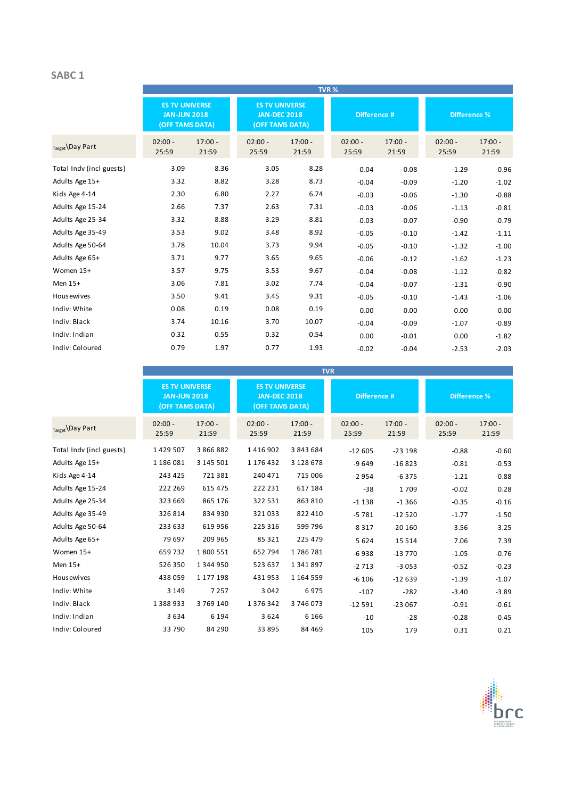### **SABC 1**

|                          |                                                                 |                    |                                                                 |                    | TVR%               |                    |                     |                    |
|--------------------------|-----------------------------------------------------------------|--------------------|-----------------------------------------------------------------|--------------------|--------------------|--------------------|---------------------|--------------------|
|                          | <b>ES TV UNIVERSE</b><br><b>JAN-JUN 2018</b><br>(OFF TAMS DATA) |                    | <b>ES TV UNIVERSE</b><br><b>JAN-DEC 2018</b><br>(OFF TAMS DATA) |                    | Difference #       |                    | <b>Difference %</b> |                    |
| Target Day Part          | $02:00 -$<br>25:59                                              | $17:00 -$<br>21:59 | $02:00 -$<br>25:59                                              | $17:00 -$<br>21:59 | $02:00 -$<br>25:59 | $17:00 -$<br>21:59 | $02:00 -$<br>25:59  | $17:00 -$<br>21:59 |
| Total Indv (incl guests) | 3.09                                                            | 8.36               | 3.05                                                            | 8.28               | $-0.04$            | $-0.08$            | $-1.29$             | $-0.96$            |
| Adults Age 15+           | 3.32                                                            | 8.82               | 3.28                                                            | 8.73               | $-0.04$            | $-0.09$            | $-1.20$             | $-1.02$            |
| Kids Age 4-14            | 2.30                                                            | 6.80               | 2.27                                                            | 6.74               | $-0.03$            | $-0.06$            | $-1.30$             | $-0.88$            |
| Adults Age 15-24         | 2.66                                                            | 7.37               | 2.63                                                            | 7.31               | $-0.03$            | $-0.06$            | $-1.13$             | $-0.81$            |
| Adults Age 25-34         | 3.32                                                            | 8.88               | 3.29                                                            | 8.81               | $-0.03$            | $-0.07$            | $-0.90$             | $-0.79$            |
| Adults Age 35-49         | 3.53                                                            | 9.02               | 3.48                                                            | 8.92               | $-0.05$            | $-0.10$            | $-1.42$             | $-1.11$            |
| Adults Age 50-64         | 3.78                                                            | 10.04              | 3.73                                                            | 9.94               | $-0.05$            | $-0.10$            | $-1.32$             | $-1.00$            |
| Adults Age 65+           | 3.71                                                            | 9.77               | 3.65                                                            | 9.65               | $-0.06$            | $-0.12$            | $-1.62$             | $-1.23$            |
| Women 15+                | 3.57                                                            | 9.75               | 3.53                                                            | 9.67               | $-0.04$            | $-0.08$            | $-1.12$             | $-0.82$            |
| Men 15+                  | 3.06                                                            | 7.81               | 3.02                                                            | 7.74               | $-0.04$            | $-0.07$            | $-1.31$             | $-0.90$            |
| Housewives               | 3.50                                                            | 9.41               | 3.45                                                            | 9.31               | $-0.05$            | $-0.10$            | $-1.43$             | $-1.06$            |
| Indiv: White             | 0.08                                                            | 0.19               | 0.08                                                            | 0.19               | 0.00               | 0.00               | 0.00                | 0.00               |
| Indiv: Black             | 3.74                                                            | 10.16              | 3.70                                                            | 10.07              | $-0.04$            | $-0.09$            | $-1.07$             | $-0.89$            |
| Indiv: Indian            | 0.32                                                            | 0.55               | 0.32                                                            | 0.54               | 0.00               | $-0.01$            | 0.00                | $-1.82$            |
| Indiv: Coloured          | 0.79                                                            | 1.97               | 0.77                                                            | 1.93               | $-0.02$            | $-0.04$            | $-2.53$             | $-2.03$            |

|                          |                                                                 | <b>TVR</b>         |                                                                 |                    |                    |                    |                     |                    |  |  |
|--------------------------|-----------------------------------------------------------------|--------------------|-----------------------------------------------------------------|--------------------|--------------------|--------------------|---------------------|--------------------|--|--|
|                          | <b>ES TV UNIVERSE</b><br><b>JAN-JUN 2018</b><br>(OFF TAMS DATA) |                    | <b>ES TV UNIVERSE</b><br><b>JAN-DEC 2018</b><br>(OFF TAMS DATA) |                    | Difference #       |                    | <b>Difference %</b> |                    |  |  |
| Target Day Part          | $02:00 -$<br>25:59                                              | $17:00 -$<br>21:59 | $02:00 -$<br>25:59                                              | $17:00 -$<br>21:59 | $02:00 -$<br>25:59 | $17:00 -$<br>21:59 | $02:00 -$<br>25:59  | $17:00 -$<br>21:59 |  |  |
| Total Indv (incl guests) | 1 429 507                                                       | 3 866 882          | 1416902                                                         | 3 843 684          | $-12605$           | $-23198$           | $-0.88$             | $-0.60$            |  |  |
| Adults Age 15+           | 1 186 081                                                       | 3 145 501          | 1 176 432                                                       | 3 128 678          | $-9649$            | $-16823$           | $-0.81$             | $-0.53$            |  |  |
| Kids Age 4-14            | 243 425                                                         | 721 381            | 240 471                                                         | 715 006            | $-2954$            | $-6375$            | $-1.21$             | $-0.88$            |  |  |
| Adults Age 15-24         | 222 269                                                         | 615 475            | 222 231                                                         | 617 184            | $-38$              | 1709               | $-0.02$             | 0.28               |  |  |
| Adults Age 25-34         | 323 669                                                         | 865 176            | 322 531                                                         | 863 810            | $-1138$            | $-1366$            | $-0.35$             | $-0.16$            |  |  |
| Adults Age 35-49         | 326 814                                                         | 834 930            | 321033                                                          | 822 410            | $-5781$            | $-12520$           | $-1.77$             | $-1.50$            |  |  |
| Adults Age 50-64         | 233 633                                                         | 619 956            | 225 316                                                         | 599 796            | $-8317$            | $-20160$           | $-3.56$             | $-3.25$            |  |  |
| Adults Age 65+           | 79 697                                                          | 209 965            | 85 321                                                          | 225 479            | 5624               | 15 5 14            | 7.06                | 7.39               |  |  |
| Women 15+                | 659732                                                          | 1800551            | 652 794                                                         | 1786781            | $-6938$            | $-13770$           | $-1.05$             | $-0.76$            |  |  |
| Men 15+                  | 526 350                                                         | 1 344 950          | 523 637                                                         | 1 341 897          | $-2713$            | $-3053$            | $-0.52$             | $-0.23$            |  |  |
| <b>Housewives</b>        | 438 059                                                         | 1 177 198          | 431953                                                          | 1 1 6 4 5 5 9      | $-6106$            | $-12639$           | $-1.39$             | $-1.07$            |  |  |
| Indiv: White             | 3 1 4 9                                                         | 7 2 5 7            | 3 0 4 2                                                         | 6975               | $-107$             | $-282$             | $-3.40$             | $-3.89$            |  |  |
| Indiv: Black             | 1 388 933                                                       | 3769140            | 1 376 342                                                       | 3746073            | $-12591$           | $-23067$           | $-0.91$             | $-0.61$            |  |  |
| Indiv: Indian            | 3634                                                            | 6 1 9 4            | 3624                                                            | 6 1 6 6            | -10                | $-28$              | $-0.28$             | $-0.45$            |  |  |
| Indiv: Coloured          | 33 790                                                          | 84 290             | 33895                                                           | 84 4 69            | 105                | 179                | 0.31                | 0.21               |  |  |

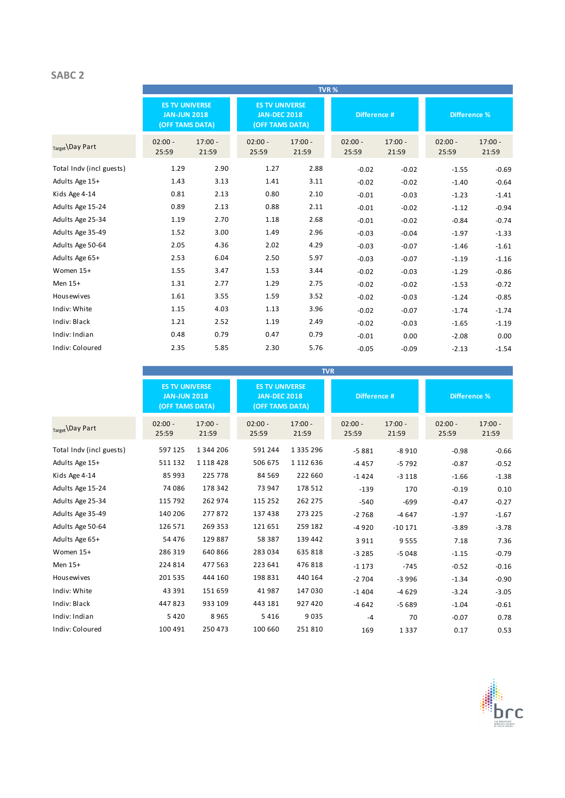### **SABC 2**

|                          |                                                                 |                    |                                                                 |                    | TVR%               |                    |                     |                    |
|--------------------------|-----------------------------------------------------------------|--------------------|-----------------------------------------------------------------|--------------------|--------------------|--------------------|---------------------|--------------------|
|                          | <b>ES TV UNIVERSE</b><br><b>JAN-JUN 2018</b><br>(OFF TAMS DATA) |                    | <b>ES TV UNIVERSE</b><br><b>JAN-DEC 2018</b><br>(OFF TAMS DATA) |                    | Difference #       |                    | <b>Difference %</b> |                    |
| $_{Target}$ Day Part     | $02:00 -$<br>25:59                                              | $17:00 -$<br>21:59 | $02:00 -$<br>25:59                                              | $17:00 -$<br>21:59 | $02:00 -$<br>25:59 | $17:00 -$<br>21:59 | $02:00 -$<br>25:59  | $17:00 -$<br>21:59 |
| Total Indv (incl guests) | 1.29                                                            | 2.90               | 1.27                                                            | 2.88               | $-0.02$            | $-0.02$            | $-1.55$             | $-0.69$            |
| Adults Age 15+           | 1.43                                                            | 3.13               | 1.41                                                            | 3.11               | $-0.02$            | $-0.02$            | $-1.40$             | $-0.64$            |
| Kids Age 4-14            | 0.81                                                            | 2.13               | 0.80                                                            | 2.10               | $-0.01$            | $-0.03$            | $-1.23$             | $-1.41$            |
| Adults Age 15-24         | 0.89                                                            | 2.13               | 0.88                                                            | 2.11               | $-0.01$            | $-0.02$            | $-1.12$             | $-0.94$            |
| Adults Age 25-34         | 1.19                                                            | 2.70               | 1.18                                                            | 2.68               | $-0.01$            | $-0.02$            | $-0.84$             | $-0.74$            |
| Adults Age 35-49         | 1.52                                                            | 3.00               | 1.49                                                            | 2.96               | $-0.03$            | $-0.04$            | $-1.97$             | $-1.33$            |
| Adults Age 50-64         | 2.05                                                            | 4.36               | 2.02                                                            | 4.29               | $-0.03$            | $-0.07$            | $-1.46$             | $-1.61$            |
| Adults Age 65+           | 2.53                                                            | 6.04               | 2.50                                                            | 5.97               | $-0.03$            | $-0.07$            | $-1.19$             | $-1.16$            |
| Women 15+                | 1.55                                                            | 3.47               | 1.53                                                            | 3.44               | $-0.02$            | $-0.03$            | $-1.29$             | $-0.86$            |
| Men 15+                  | 1.31                                                            | 2.77               | 1.29                                                            | 2.75               | $-0.02$            | $-0.02$            | $-1.53$             | $-0.72$            |
| <b>Housewives</b>        | 1.61                                                            | 3.55               | 1.59                                                            | 3.52               | $-0.02$            | $-0.03$            | $-1.24$             | $-0.85$            |
| Indiv: White             | 1.15                                                            | 4.03               | 1.13                                                            | 3.96               | $-0.02$            | $-0.07$            | $-1.74$             | $-1.74$            |
| Indiv: Black             | 1.21                                                            | 2.52               | 1.19                                                            | 2.49               | $-0.02$            | $-0.03$            | $-1.65$             | $-1.19$            |
| Indiv: Indian            | 0.48                                                            | 0.79               | 0.47                                                            | 0.79               | $-0.01$            | 0.00               | $-2.08$             | 0.00               |
| Indiv: Coloured          | 2.35                                                            | 5.85               | 2.30                                                            | 5.76               | $-0.05$            | $-0.09$            | $-2.13$             | $-1.54$            |

|                          |                                                                 | <b>TVR</b>         |                                                                 |                    |                    |                    |                     |                    |  |  |
|--------------------------|-----------------------------------------------------------------|--------------------|-----------------------------------------------------------------|--------------------|--------------------|--------------------|---------------------|--------------------|--|--|
|                          | <b>ES TV UNIVERSE</b><br><b>JAN-JUN 2018</b><br>(OFF TAMS DATA) |                    | <b>ES TV UNIVERSE</b><br><b>JAN-DEC 2018</b><br>(OFF TAMS DATA) |                    | Difference #       |                    | <b>Difference %</b> |                    |  |  |
| Target Day Part          | $02:00 -$<br>25:59                                              | $17:00 -$<br>21:59 | $02:00 -$<br>25:59                                              | $17:00 -$<br>21:59 | $02:00 -$<br>25:59 | $17:00 -$<br>21:59 | $02:00 -$<br>25:59  | $17:00 -$<br>21:59 |  |  |
| Total Indy (incl guests) | 597 125                                                         | 1 344 206          | 591 244                                                         | 1 3 3 5 2 9 6      | $-5881$            | $-8910$            | $-0.98$             | $-0.66$            |  |  |
| Adults Age 15+           | 511 132                                                         | 1 1 1 8 4 2 8      | 506 675                                                         | 1 112 636          | $-4457$            | $-5792$            | $-0.87$             | $-0.52$            |  |  |
| Kids Age 4-14            | 85 993                                                          | 225 778            | 84 5 69                                                         | 222 660            | $-1424$            | $-3118$            | $-1.66$             | $-1.38$            |  |  |
| Adults Age 15-24         | 74 086                                                          | 178 342            | 73 947                                                          | 178 512            | $-139$             | 170                | $-0.19$             | 0.10               |  |  |
| Adults Age 25-34         | 115 792                                                         | 262 974            | 115 252                                                         | 262 275            | $-540$             | $-699$             | $-0.47$             | $-0.27$            |  |  |
| Adults Age 35-49         | 140 206                                                         | 277872             | 137438                                                          | 273 225            | $-2768$            | $-4647$            | $-1.97$             | $-1.67$            |  |  |
| Adults Age 50-64         | 126 571                                                         | 269 353            | 121 651                                                         | 259 182            | $-4920$            | $-10171$           | $-3.89$             | $-3.78$            |  |  |
| Adults Age 65+           | 54 476                                                          | 129 887            | 58 387                                                          | 139 442            | 3911               | 9555               | 7.18                | 7.36               |  |  |
| Women 15+                | 286 319                                                         | 640 866            | 283 034                                                         | 635 818            | $-3285$            | $-5048$            | $-1.15$             | $-0.79$            |  |  |
| Men 15+                  | 224 814                                                         | 477 563            | 223 641                                                         | 476 818            | $-1173$            | $-745$             | $-0.52$             | $-0.16$            |  |  |
| Housewives               | 201 535                                                         | 444 160            | 198 831                                                         | 440 164            | $-2704$            | $-3996$            | $-1.34$             | $-0.90$            |  |  |
| Indiv: White             | 43 391                                                          | 151 659            | 41987                                                           | 147 030            | $-1404$            | $-4629$            | $-3.24$             | $-3.05$            |  |  |
| Indiv: Black             | 447823                                                          | 933 109            | 443 181                                                         | 927 420            | $-4642$            | $-5689$            | $-1.04$             | $-0.61$            |  |  |
| Indiv: Indian            | 5 4 2 0                                                         | 8965               | 5416                                                            | 9035               | $-4$               | 70                 | $-0.07$             | 0.78               |  |  |
| Indiv: Coloured          | 100 491                                                         | 250 473            | 100 660                                                         | 251810             | 169                | 1337               | 0.17                | 0.53               |  |  |

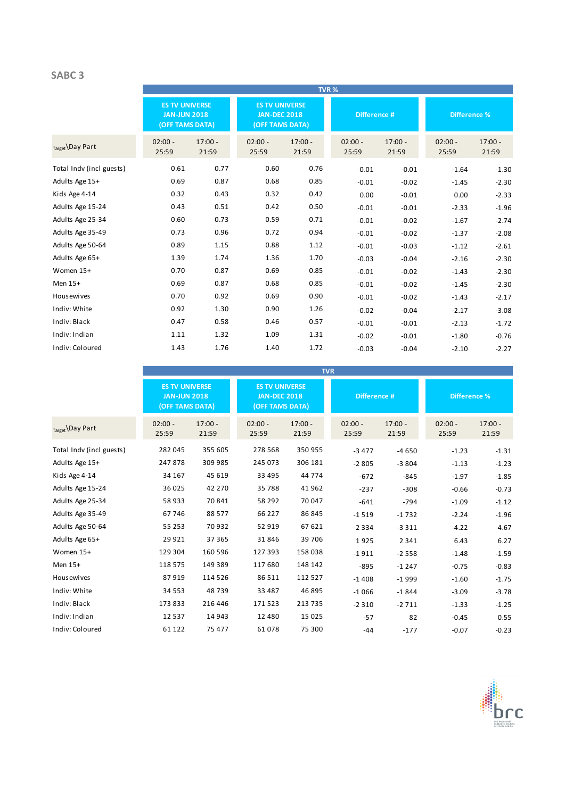### **SABC 3**

|                          |                                                                 |                    |                                                                 |                    | TVR%               |                    |                     |                    |
|--------------------------|-----------------------------------------------------------------|--------------------|-----------------------------------------------------------------|--------------------|--------------------|--------------------|---------------------|--------------------|
|                          | <b>ES TV UNIVERSE</b><br><b>JAN-JUN 2018</b><br>(OFF TAMS DATA) |                    | <b>ES TV UNIVERSE</b><br><b>JAN-DEC 2018</b><br>(OFF TAMS DATA) |                    | Difference #       |                    | <b>Difference %</b> |                    |
| Target \Day Part         | $02:00 -$<br>25:59                                              | $17:00 -$<br>21:59 | $02:00 -$<br>25:59                                              | $17:00 -$<br>21:59 | $02:00 -$<br>25:59 | $17:00 -$<br>21:59 | $02:00 -$<br>25:59  | $17:00 -$<br>21:59 |
| Total Indy (incl guests) | 0.61                                                            | 0.77               | 0.60                                                            | 0.76               | $-0.01$            | $-0.01$            | $-1.64$             | $-1.30$            |
| Adults Age 15+           | 0.69                                                            | 0.87               | 0.68                                                            | 0.85               | $-0.01$            | $-0.02$            | $-1.45$             | $-2.30$            |
| Kids Age 4-14            | 0.32                                                            | 0.43               | 0.32                                                            | 0.42               | 0.00               | $-0.01$            | 0.00                | $-2.33$            |
| Adults Age 15-24         | 0.43                                                            | 0.51               | 0.42                                                            | 0.50               | $-0.01$            | $-0.01$            | $-2.33$             | $-1.96$            |
| Adults Age 25-34         | 0.60                                                            | 0.73               | 0.59                                                            | 0.71               | $-0.01$            | $-0.02$            | $-1.67$             | $-2.74$            |
| Adults Age 35-49         | 0.73                                                            | 0.96               | 0.72                                                            | 0.94               | $-0.01$            | $-0.02$            | $-1.37$             | $-2.08$            |
| Adults Age 50-64         | 0.89                                                            | 1.15               | 0.88                                                            | 1.12               | $-0.01$            | $-0.03$            | $-1.12$             | $-2.61$            |
| Adults Age 65+           | 1.39                                                            | 1.74               | 1.36                                                            | 1.70               | $-0.03$            | $-0.04$            | $-2.16$             | $-2.30$            |
| Women 15+                | 0.70                                                            | 0.87               | 0.69                                                            | 0.85               | $-0.01$            | $-0.02$            | $-1.43$             | $-2.30$            |
| Men 15+                  | 0.69                                                            | 0.87               | 0.68                                                            | 0.85               | $-0.01$            | $-0.02$            | $-1.45$             | $-2.30$            |
| Housewives               | 0.70                                                            | 0.92               | 0.69                                                            | 0.90               | $-0.01$            | $-0.02$            | $-1.43$             | $-2.17$            |
| Indiv: White             | 0.92                                                            | 1.30               | 0.90                                                            | 1.26               | $-0.02$            | $-0.04$            | $-2.17$             | $-3.08$            |
| Indiv: Black             | 0.47                                                            | 0.58               | 0.46                                                            | 0.57               | $-0.01$            | $-0.01$            | $-2.13$             | $-1.72$            |
| Indiv: Indian            | 1.11                                                            | 1.32               | 1.09                                                            | 1.31               | $-0.02$            | $-0.01$            | $-1.80$             | $-0.76$            |
| Indiv: Coloured          | 1.43                                                            | 1.76               | 1.40                                                            | 1.72               | $-0.03$            | $-0.04$            | $-2.10$             | $-2.27$            |

|                          |                                                                        |                    |                                                                 |                    | <b>TVR</b>         |                    |                     |                    |
|--------------------------|------------------------------------------------------------------------|--------------------|-----------------------------------------------------------------|--------------------|--------------------|--------------------|---------------------|--------------------|
|                          | <b>ES TV UNIVERSE</b><br><b>JAN-JUN 2018</b><br><b>(OFF TAMS DATA)</b> |                    | <b>ES TV UNIVERSE</b><br><b>JAN-DEC 2018</b><br>(OFF TAMS DATA) |                    | Difference #       |                    | <b>Difference %</b> |                    |
| Target \Day Part         | $02:00 -$<br>25:59                                                     | $17:00 -$<br>21:59 | $02:00 -$<br>25:59                                              | $17:00 -$<br>21:59 | $02:00 -$<br>25:59 | $17:00 -$<br>21:59 | $02:00 -$<br>25:59  | $17:00 -$<br>21:59 |
| Total Indv (incl guests) | 282 045                                                                | 355 605            | 278 568                                                         | 350 955            | $-3477$            | $-4650$            | $-1.23$             | $-1.31$            |
| Adults Age 15+           | 247878                                                                 | 309 985            | 245 073                                                         | 306 181            | $-2805$            | $-3804$            | $-1.13$             | $-1.23$            |
| Kids Age 4-14            | 34 167                                                                 | 45 619             | 33 4 95                                                         | 44 774             | $-672$             | $-845$             | $-1.97$             | $-1.85$            |
| Adults Age 15-24         | 36 025                                                                 | 42 270             | 35788                                                           | 41 962             | $-237$             | $-308$             | $-0.66$             | $-0.73$            |
| Adults Age 25-34         | 58 933                                                                 | 70841              | 58 292                                                          | 70 047             | $-641$             | $-794$             | $-1.09$             | $-1.12$            |
| Adults Age 35-49         | 67 746                                                                 | 88 577             | 66 2 2 7                                                        | 86 845             | $-1519$            | $-1732$            | $-2.24$             | $-1.96$            |
| Adults Age 50-64         | 55 253                                                                 | 70 932             | 52919                                                           | 67 621             | $-2334$            | $-3311$            | $-4.22$             | $-4.67$            |
| Adults Age 65+           | 29 9 21                                                                | 37 365             | 31846                                                           | 39 706             | 1925               | 2 3 4 1            | 6.43                | 6.27               |
| Women 15+                | 129 304                                                                | 160 596            | 127 393                                                         | 158 038            | $-1911$            | $-2558$            | $-1.48$             | $-1.59$            |
| Men 15+                  | 118 575                                                                | 149 389            | 117 680                                                         | 148 142            | $-895$             | $-1247$            | $-0.75$             | $-0.83$            |
| <b>Housewives</b>        | 87919                                                                  | 114 526            | 86511                                                           | 112 527            | $-1408$            | $-1999$            | $-1.60$             | $-1.75$            |
| Indiv: White             | 34 5 53                                                                | 48739              | 33 4 8 7                                                        | 46 895             | $-1066$            | $-1844$            | $-3.09$             | $-3.78$            |
| Indiv: Black             | 173 833                                                                | 216 446            | 171 523                                                         | 213 735            | $-2310$            | $-2711$            | $-1.33$             | $-1.25$            |
| Indiv: Indian            | 12 5 3 7                                                               | 14 943             | 12 4 8 0                                                        | 15 0 25            | $-57$              | 82                 | $-0.45$             | 0.55               |
| Indiv: Coloured          | 61 122                                                                 | 75 477             | 61078                                                           | 75 300             | $-44$              | $-177$             | $-0.07$             | $-0.23$            |

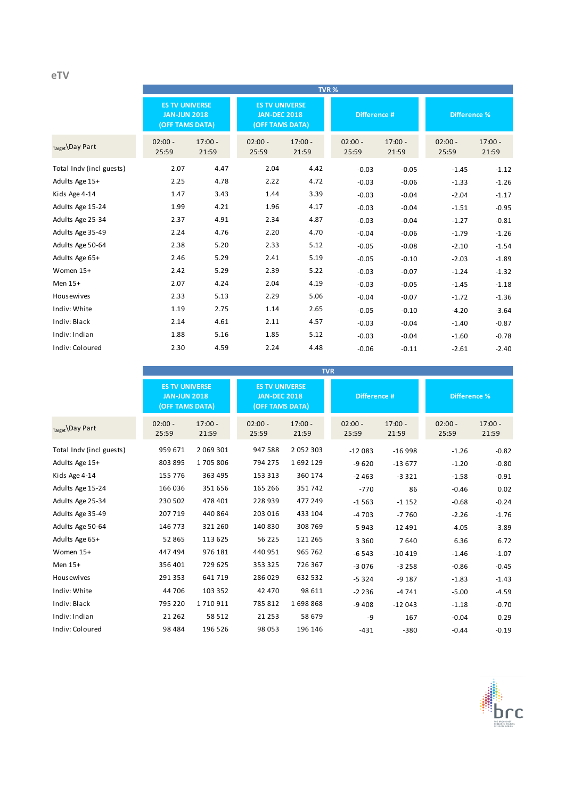## **eTV**

|                          |                                                                 |                    |                                                                 |                    | TVR%               |                    |                     |                    |
|--------------------------|-----------------------------------------------------------------|--------------------|-----------------------------------------------------------------|--------------------|--------------------|--------------------|---------------------|--------------------|
|                          | <b>ES TV UNIVERSE</b><br><b>JAN-JUN 2018</b><br>(OFF TAMS DATA) |                    | <b>ES TV UNIVERSE</b><br><b>JAN-DEC 2018</b><br>(OFF TAMS DATA) |                    | Difference #       |                    | <b>Difference %</b> |                    |
| $_{Target}$ Day Part     | $02:00 -$<br>25:59                                              | $17:00 -$<br>21:59 | $02:00 -$<br>25:59                                              | $17:00 -$<br>21:59 | $02:00 -$<br>25:59 | $17:00 -$<br>21:59 | $02:00 -$<br>25:59  | $17:00 -$<br>21:59 |
| Total Indv (incl guests) | 2.07                                                            | 4.47               | 2.04                                                            | 4.42               | $-0.03$            | $-0.05$            | $-1.45$             | $-1.12$            |
| Adults Age 15+           | 2.25                                                            | 4.78               | 2.22                                                            | 4.72               | $-0.03$            | $-0.06$            | $-1.33$             | $-1.26$            |
| Kids Age 4-14            | 1.47                                                            | 3.43               | 1.44                                                            | 3.39               | $-0.03$            | $-0.04$            | $-2.04$             | $-1.17$            |
| Adults Age 15-24         | 1.99                                                            | 4.21               | 1.96                                                            | 4.17               | $-0.03$            | $-0.04$            | $-1.51$             | $-0.95$            |
| Adults Age 25-34         | 2.37                                                            | 4.91               | 2.34                                                            | 4.87               | $-0.03$            | $-0.04$            | $-1.27$             | $-0.81$            |
| Adults Age 35-49         | 2.24                                                            | 4.76               | 2.20                                                            | 4.70               | $-0.04$            | $-0.06$            | $-1.79$             | $-1.26$            |
| Adults Age 50-64         | 2.38                                                            | 5.20               | 2.33                                                            | 5.12               | $-0.05$            | $-0.08$            | $-2.10$             | $-1.54$            |
| Adults Age 65+           | 2.46                                                            | 5.29               | 2.41                                                            | 5.19               | $-0.05$            | $-0.10$            | $-2.03$             | $-1.89$            |
| Women 15+                | 2.42                                                            | 5.29               | 2.39                                                            | 5.22               | $-0.03$            | $-0.07$            | $-1.24$             | $-1.32$            |
| Men 15+                  | 2.07                                                            | 4.24               | 2.04                                                            | 4.19               | $-0.03$            | $-0.05$            | $-1.45$             | $-1.18$            |
| <b>Housewives</b>        | 2.33                                                            | 5.13               | 2.29                                                            | 5.06               | $-0.04$            | $-0.07$            | $-1.72$             | $-1.36$            |
| Indiv: White             | 1.19                                                            | 2.75               | 1.14                                                            | 2.65               | $-0.05$            | $-0.10$            | $-4.20$             | $-3.64$            |
| Indiv: Black             | 2.14                                                            | 4.61               | 2.11                                                            | 4.57               | $-0.03$            | $-0.04$            | $-1.40$             | $-0.87$            |
| Indiv: Indian            | 1.88                                                            | 5.16               | 1.85                                                            | 5.12               | $-0.03$            | $-0.04$            | $-1.60$             | $-0.78$            |
| Indiv: Coloured          | 2.30                                                            | 4.59               | 2.24                                                            | 4.48               | $-0.06$            | $-0.11$            | $-2.61$             | $-2.40$            |

|                          |                                                                 | <b>TVR</b>         |                                                                 |                    |                    |                    |                     |                    |  |  |
|--------------------------|-----------------------------------------------------------------|--------------------|-----------------------------------------------------------------|--------------------|--------------------|--------------------|---------------------|--------------------|--|--|
|                          | <b>ES TV UNIVERSE</b><br><b>JAN-JUN 2018</b><br>(OFF TAMS DATA) |                    | <b>ES TV UNIVERSE</b><br><b>JAN-DEC 2018</b><br>(OFF TAMS DATA) |                    | Difference #       |                    | <b>Difference %</b> |                    |  |  |
| Target Day Part          | $02:00 -$<br>25:59                                              | $17:00 -$<br>21:59 | $02:00 -$<br>25:59                                              | $17:00 -$<br>21:59 | $02:00 -$<br>25:59 | $17:00 -$<br>21:59 | $02:00 -$<br>25:59  | $17:00 -$<br>21:59 |  |  |
| Total Indy (incl guests) | 959 671                                                         | 2 069 301          | 947 588                                                         | 2052303            | $-12083$           | $-16998$           | $-1.26$             | $-0.82$            |  |  |
| Adults Age 15+           | 803 895                                                         | 1705806            | 794 275                                                         | 1692129            | $-9620$            | $-13677$           | $-1.20$             | $-0.80$            |  |  |
| Kids Age 4-14            | 155 776                                                         | 363 495            | 153 313                                                         | 360 174            | $-2463$            | $-3321$            | $-1.58$             | $-0.91$            |  |  |
| Adults Age 15-24         | 166 036                                                         | 351 656            | 165 266                                                         | 351742             | $-770$             | 86                 | $-0.46$             | 0.02               |  |  |
| Adults Age 25-34         | 230 502                                                         | 478 401            | 228 939                                                         | 477 249            | $-1563$            | $-1152$            | $-0.68$             | $-0.24$            |  |  |
| Adults Age 35-49         | 207 719                                                         | 440 864            | 203 016                                                         | 433 104            | $-4703$            | $-7760$            | $-2.26$             | $-1.76$            |  |  |
| Adults Age 50-64         | 146 773                                                         | 321 260            | 140 830                                                         | 308 769            | $-5943$            | $-12491$           | $-4.05$             | $-3.89$            |  |  |
| Adults Age 65+           | 52 865                                                          | 113 625            | 56 2 2 5                                                        | 121 265            | 3 3 6 0            | 7640               | 6.36                | 6.72               |  |  |
| Women 15+                | 447 494                                                         | 976 181            | 440 951                                                         | 965 762            | $-6543$            | $-10419$           | $-1.46$             | $-1.07$            |  |  |
| Men 15+                  | 356 401                                                         | 729 625            | 353 325                                                         | 726 367            | $-3076$            | $-3258$            | $-0.86$             | $-0.45$            |  |  |
| <b>Housewives</b>        | 291 353                                                         | 641 719            | 286 029                                                         | 632 532            | $-5324$            | $-9187$            | $-1.83$             | $-1.43$            |  |  |
| Indiv: White             | 44 706                                                          | 103 352            | 42 470                                                          | 98 611             | $-2236$            | $-4741$            | $-5.00$             | $-4.59$            |  |  |
| Indiv: Black             | 795 220                                                         | 1710911            | 785 812                                                         | 1698868            | $-9408$            | $-12043$           | $-1.18$             | $-0.70$            |  |  |
| Indiv: Indian            | 21 2 6 2                                                        | 58 512             | 21 2 5 3                                                        | 58 679             | -9                 | 167                | $-0.04$             | 0.29               |  |  |
| Indiv: Coloured          | 98 4 84                                                         | 196 526            | 98 053                                                          | 196 146            | $-431$             | $-380$             | $-0.44$             | $-0.19$            |  |  |

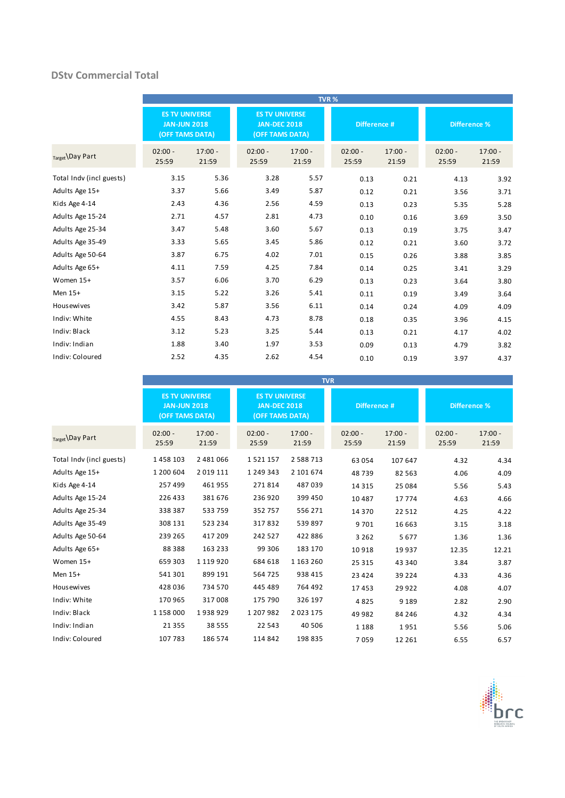### **DStv Commercial Total**

|                          |                                                                 |                    |                                                                 |                    | TVR%               |                    |                     |                    |
|--------------------------|-----------------------------------------------------------------|--------------------|-----------------------------------------------------------------|--------------------|--------------------|--------------------|---------------------|--------------------|
|                          | <b>ES TV UNIVERSE</b><br><b>JAN-JUN 2018</b><br>(OFF TAMS DATA) |                    | <b>ES TV UNIVERSE</b><br><b>JAN-DEC 2018</b><br>(OFF TAMS DATA) |                    | Difference #       |                    | <b>Difference %</b> |                    |
| Target Day Part          | $02:00 -$<br>25:59                                              | $17:00 -$<br>21:59 | $02:00 -$<br>25:59                                              | $17:00 -$<br>21:59 | $02:00 -$<br>25:59 | $17:00 -$<br>21:59 | $02:00 -$<br>25:59  | $17:00 -$<br>21:59 |
| Total Indv (incl guests) | 3.15                                                            | 5.36               | 3.28                                                            | 5.57               | 0.13               | 0.21               | 4.13                | 3.92               |
| Adults Age 15+           | 3.37                                                            | 5.66               | 3.49                                                            | 5.87               | 0.12               | 0.21               | 3.56                | 3.71               |
| Kids Age 4-14            | 2.43                                                            | 4.36               | 2.56                                                            | 4.59               | 0.13               | 0.23               | 5.35                | 5.28               |
| Adults Age 15-24         | 2.71                                                            | 4.57               | 2.81                                                            | 4.73               | 0.10               | 0.16               | 3.69                | 3.50               |
| Adults Age 25-34         | 3.47                                                            | 5.48               | 3.60                                                            | 5.67               | 0.13               | 0.19               | 3.75                | 3.47               |
| Adults Age 35-49         | 3.33                                                            | 5.65               | 3.45                                                            | 5.86               | 0.12               | 0.21               | 3.60                | 3.72               |
| Adults Age 50-64         | 3.87                                                            | 6.75               | 4.02                                                            | 7.01               | 0.15               | 0.26               | 3.88                | 3.85               |
| Adults Age 65+           | 4.11                                                            | 7.59               | 4.25                                                            | 7.84               | 0.14               | 0.25               | 3.41                | 3.29               |
| Women 15+                | 3.57                                                            | 6.06               | 3.70                                                            | 6.29               | 0.13               | 0.23               | 3.64                | 3.80               |
| Men 15+                  | 3.15                                                            | 5.22               | 3.26                                                            | 5.41               | 0.11               | 0.19               | 3.49                | 3.64               |
| <b>Housewives</b>        | 3.42                                                            | 5.87               | 3.56                                                            | 6.11               | 0.14               | 0.24               | 4.09                | 4.09               |
| Indiv: White             | 4.55                                                            | 8.43               | 4.73                                                            | 8.78               | 0.18               | 0.35               | 3.96                | 4.15               |
| Indiv: Black             | 3.12                                                            | 5.23               | 3.25                                                            | 5.44               | 0.13               | 0.21               | 4.17                | 4.02               |
| Indiv: Indian            | 1.88                                                            | 3.40               | 1.97                                                            | 3.53               | 0.09               | 0.13               | 4.79                | 3.82               |
| Indiv: Coloured          | 2.52                                                            | 4.35               | 2.62                                                            | 4.54               | 0.10               | 0.19               | 3.97                | 4.37               |

|                          |                                                                 |                    |                                                                 |                    | <b>TVR</b>         |                    |                     |                    |
|--------------------------|-----------------------------------------------------------------|--------------------|-----------------------------------------------------------------|--------------------|--------------------|--------------------|---------------------|--------------------|
|                          | <b>ES TV UNIVERSE</b><br><b>JAN-JUN 2018</b><br>(OFF TAMS DATA) |                    | <b>ES TV UNIVERSE</b><br><b>JAN-DEC 2018</b><br>(OFF TAMS DATA) |                    | Difference #       |                    | <b>Difference %</b> |                    |
| Target Day Part          | $02:00 -$<br>25:59                                              | $17:00 -$<br>21:59 | $02:00 -$<br>25:59                                              | $17:00 -$<br>21:59 | $02:00 -$<br>25:59 | $17:00 -$<br>21:59 | $02:00 -$<br>25:59  | $17:00 -$<br>21:59 |
| Total Indv (incl guests) | 1458103                                                         | 2 481 066          | 1521157                                                         | 2 5 8 8 7 1 3      | 63 054             | 107 647            | 4.32                | 4.34               |
| Adults Age 15+           | 1 200 604                                                       | 2 0 1 9 1 1 1      | 1 249 343                                                       | 2 101 674          | 48739              | 82 5 63            | 4.06                | 4.09               |
| Kids Age 4-14            | 257 499                                                         | 461955             | 271814                                                          | 487039             | 14 3 15            | 25 0 84            | 5.56                | 5.43               |
| Adults Age 15-24         | 226 433                                                         | 381 676            | 236 920                                                         | 399 450            | 10 4 8 7           | 17774              | 4.63                | 4.66               |
| Adults Age 25-34         | 338 387                                                         | 533 759            | 352757                                                          | 556 271            | 14 370             | 22 5 12            | 4.25                | 4.22               |
| Adults Age 35-49         | 308 131                                                         | 523 234            | 317832                                                          | 539 897            | 9701               | 16 663             | 3.15                | 3.18               |
| Adults Age 50-64         | 239 265                                                         | 417 209            | 242 527                                                         | 422 886            | 3 2 6 2            | 5677               | 1.36                | 1.36               |
| Adults Age 65+           | 88 3 88                                                         | 163 233            | 99 306                                                          | 183 170            | 10918              | 19937              | 12.35               | 12.21              |
| Women 15+                | 659 303                                                         | 1 1 1 9 2 0        | 684 618                                                         | 1 163 260          | 25 315             | 43 340             | 3.84                | 3.87               |
| Men 15+                  | 541 301                                                         | 899 191            | 564725                                                          | 938 415            | 23 4 24            | 39 2 2 4           | 4.33                | 4.36               |
| <b>Housewives</b>        | 428 036                                                         | 734 570            | 445 489                                                         | 764 492            | 17453              | 29 9 22            | 4.08                | 4.07               |
| Indiv: White             | 170 965                                                         | 317008             | 175 790                                                         | 326 197            | 4825               | 9 1 8 9            | 2.82                | 2.90               |
| Indiv: Black             | 1 158 000                                                       | 1938929            | 1 207 982                                                       | 2 0 2 3 1 7 5      | 49 982             | 84 246             | 4.32                | 4.34               |
| Indiv: Indian            | 21 3 5 5                                                        | 38 5 5 5           | 22 5 43                                                         | 40 506             | 1 1 8 8            | 1951               | 5.56                | 5.06               |
| Indiv: Coloured          | 107 783                                                         | 186 574            | 114 842                                                         | 198 835            | 7059               | 12 2 6 1           | 6.55                | 6.57               |